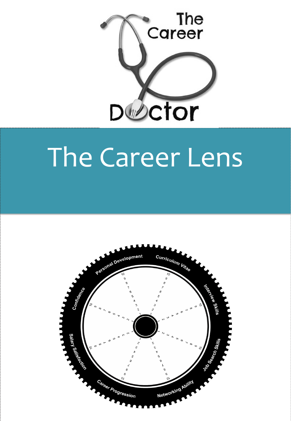

# The Career Lens

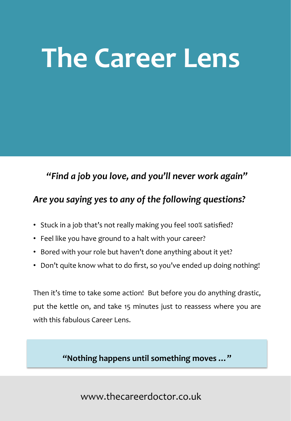# **The Career Lens**

#### *"Find a job you love, and you'll never work again"*

## Are you saying yes to any of the following questions?

- Stuck in a job that's not really making you feel 100% satisfied?
- Feel like you have ground to a halt with your career?
- Bored with your role but haven't done anything about it yet?
- Don't quite know what to do first, so you've ended up doing nothing!

Then it's time to take some action! But before you do anything drastic, put the kettle on, and take 15 minutes just to reassess where you are with this fabulous Career Lens.

#### "Nothing happens until something moves ..."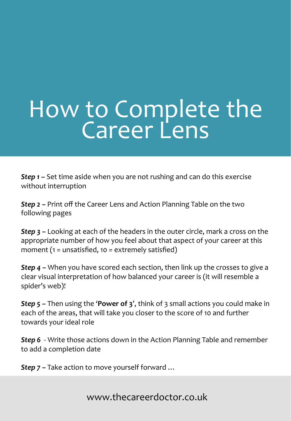# How to Complete the

**Step 1** – Set time aside when you are not rushing and can do this exercise without interruption

**Step 2** – Print off the Career Lens and Action Planning Table on the two following pages

**Step 3** – Looking at each of the headers in the outer circle, mark a cross on the appropriate number of how you feel about that aspect of your career at this moment  $(1 =$  unsatisfied,  $10 =$  extremely satisfied)

**Step 4** – When you have scored each section, then link up the crosses to give a clear visual interpretation of how balanced your career is (it will resemble a spider's web)!

**Step 5** – Then using the **'Power of 3'**, think of 3 small actions you could make in each of the areas, that will take you closer to the score of 10 and further towards your ideal role

**Step 6** - Write those actions down in the Action Planning Table and remember to add a completion date

**Step 7** – Take action to move yourself forward ...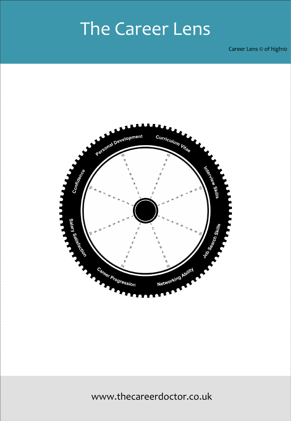## The Career Lens

Career Lens  $\odot$  of high10

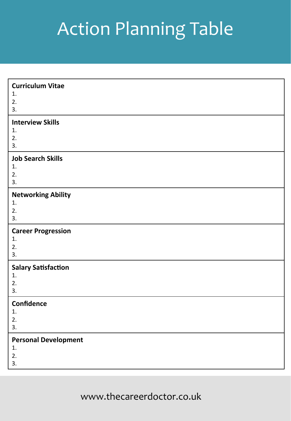## **Action Planning Table**

| <b>Curriculum Vitae</b>           |
|-----------------------------------|
| 1.                                |
| 2.<br>3.                          |
|                                   |
| <b>Interview Skills</b>           |
| 1.                                |
| 2.<br>3.                          |
| <b>Job Search Skills</b>          |
| 1.                                |
| 2.                                |
| 3.                                |
| <b>Networking Ability</b>         |
| 1.                                |
| 2.                                |
| 3.                                |
|                                   |
| <b>Career Progression</b>         |
| 1.                                |
| 2.                                |
| 3.                                |
| <b>Salary Satisfaction</b>        |
| 1.                                |
| 2.                                |
| 3.                                |
| Confidence                        |
| 1.                                |
| 2.<br>3.                          |
|                                   |
| <b>Personal Development</b><br>1. |
| 2.<br>3.                          |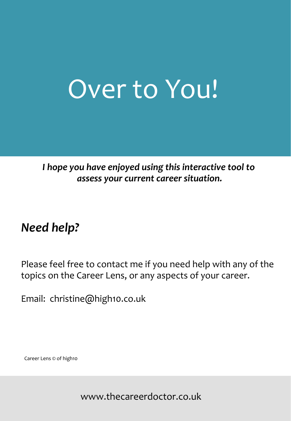## Over to You!

## *I* hope you have enjoyed using this interactive tool to  *assess your current career situation.*

## *Need help?*

Please feel free to contact me if you need help with any of the topics on the Career Lens, or any aspects of your career.

Email: christine@high10.co.uk

Career Lens  $\odot$  of high10